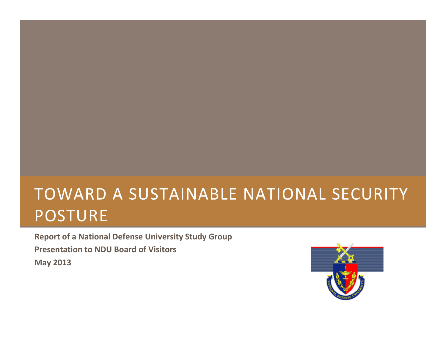# TOWARD A SUSTAINABLE NATIONAL SECURITY POSTURE

**Report of <sup>a</sup> National Defense University Study Group Presentation to NDU Board of Visitors May 2013**

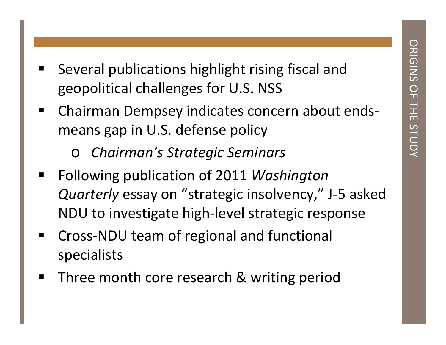- 
- Several publications highlight rising fiscal and<br>geopolitical challenges for U.S. NSS<br>Chairman Dempsey indicates concern about ends-<br>means gap in U.S. defense policy<br>
o Chairman's Strategic Seminars
	- *Chairman's Strategic Seminars*
- $\blacksquare$  Following publication of 2011 *Washington Quarterly* essay on "strategic insolvency," J‐5 asked NDU to investigate high‐level strategic response
- ■ Cross-NDU team of regional and functional specialists
- ■ Three month core research & writing period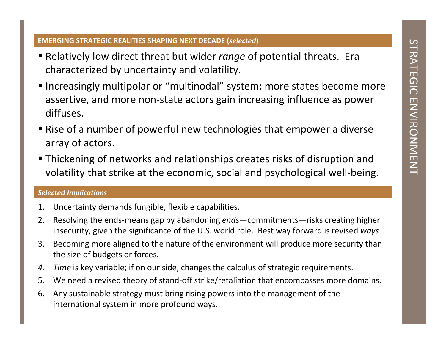- 
- Relatively low direct threat but wider *range* of potential threats. Era<br>
 Relatively low direct threat but wider *range* of potential threats. Era<br>
 Increasingly multipolar or "multinodal" system; more states become
- 
- 

### *Selected Implications*

- 1. Uncertainty demands fungible, flexible capabilities.
- 2. Resolving the ends‐means gap by abandoning *ends*—commitments—risks creating higher insecurity, given the significance of the U.S. world role. Best way forward is revised *ways*.
- 3. Becoming more aligned to the nature of the environment will produce more security than the size of budgets or forces.
- *4. Time* is key variable; if on our side, changes the calculus of strategic requirements.
- 5. We need <sup>a</sup> revised theory of stand‐off strike/retaliation that encompasses more domains.
- 6. Any sustainable strategy must bring rising powers into the management of the international system in more profound ways.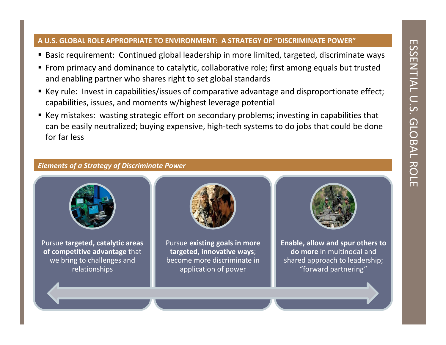- 
- 
- 
- A U.S. GLOBAL ROLE APPROPRIATE TO ENVIRONMENT: A STRATEGY OF "DISCRIMINATE POWER"<br>
 Basic requirement: Continued global leadership in more limited, targeted, discriminate ways<br>
 From primacy and dominance to catalytic, c



Pursue **targeted, catalytic areas of competitive advantage** that we bring to challenges and relationships



Pursue **existing goals in more targeted, innovative ways**; become more discriminate inapplication of power



**Enable, allow and spur others to do more** in multinodal and shared approach to leadership; "forward partnering"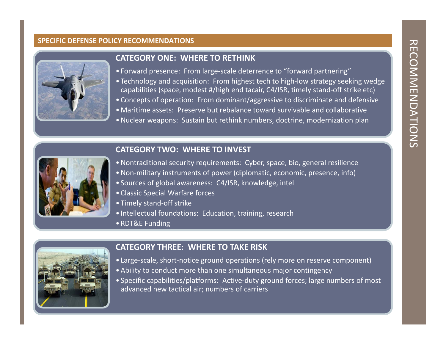

### **CATEGORY ONE: WHERE TO RETHINK**

- Forward presence: From large‐scale deterrence to "forward partnering"
- Technology and acquisition: From highest tech to high‐low strategy seeking wedge capabilities (space, modest #/high end tacair, C4/ISR, timely stand‐off strike etc)
- Concepts of operation: From dominant/aggressive to discriminate and defensive
- Maritime assets: Preserve but rebalance toward survivable and collaborative
- Nuclear weapons: Sustain but rethink numbers, doctrine, modernization plan

### **TWO: WHERE TO INVEST**



- Nontraditional security requirements: Cyber, space, bio, general resilience
- Non‐military instruments of power (diplomatic, economic, presence, info)
- Sources of global awareness: C4/ISR, knowledge, intel
- Classic Special Warfare forces
- Timely stand‐off strike
- Intellectual foundations: Education, training, research
- RDT&E Funding



### **CATEGORY THREE: WHERE TO TAKE RISK**

- Large‐scale, short‐notice ground operations (rely more on reserve component)
- Ability to conduct more than one simultaneous major contingency
- Specific capabilities/platforms: Active‐duty ground forces; large numbers of most advanced new tactical air; numbers of carriers